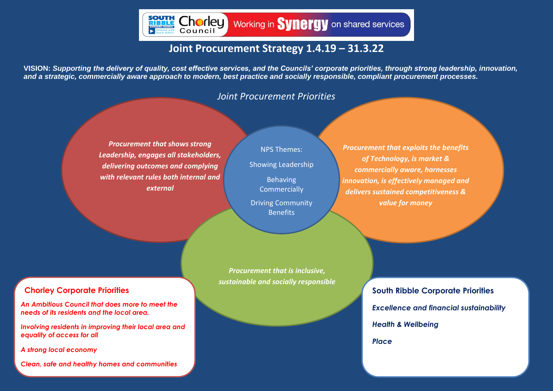

## **Joint Procurement Strategy 1.4.19 – 31.3.22**

**VISION:** *Supporting the delivery of quality, cost effective services, and the Councils' corporate priorities, through strong leadership, innovation, and a strategic, commercially aware approach to modern, best practice and socially responsible, compliant procurement processes.*

#### *Joint Procurement Priorities*

*Procurement that shows strong Leadership, engages all stakeholders, delivering outcomes and complying with relevant rules both internal and external*

NPS Themes: Showing Leadership Behaving **Commercially** Driving Community **Benefits** 

*Procurement that is inclusive, sustainable and socially responsible*

*Procurement that exploits the benefits of Technology, is market & commercially aware, harnesses innovation, is effectively managed and delivers sustained competitiveness & value for money*

### **Chorley Corporate Priorities**

*An Ambitious Council that does more to meet the needs of its residents and the local area.*

*Involving residents in improving their local area and equality of access for all*

*A strong local economy* 

*Clean, safe and healthy homes and communities*

**South Ribble Corporate Priorities** *Excellence and financial sustainability Health & Wellbeing Place*